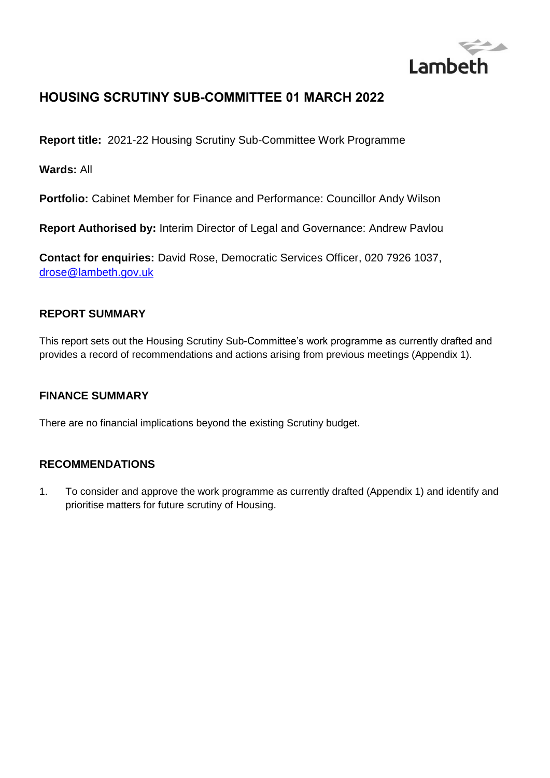

# **HOUSING SCRUTINY SUB-COMMITTEE 01 MARCH 2022**

**Report title:** 2021-22 Housing Scrutiny Sub-Committee Work Programme

**Wards:** All

**Portfolio:** Cabinet Member for Finance and Performance: Councillor Andy Wilson

**Report Authorised by:** Interim Director of Legal and Governance: Andrew Pavlou

**Contact for enquiries:** David Rose, Democratic Services Officer, 020 7926 1037, [drose@lambeth.gov.uk](mailto:drose@lambeth.gov.uk)

### **REPORT SUMMARY**

This report sets out the Housing Scrutiny Sub-Committee's work programme as currently drafted and provides a record of recommendations and actions arising from previous meetings (Appendix 1).

### **FINANCE SUMMARY**

There are no financial implications beyond the existing Scrutiny budget.

### **RECOMMENDATIONS**

1. To consider and approve the work programme as currently drafted (Appendix 1) and identify and prioritise matters for future scrutiny of Housing.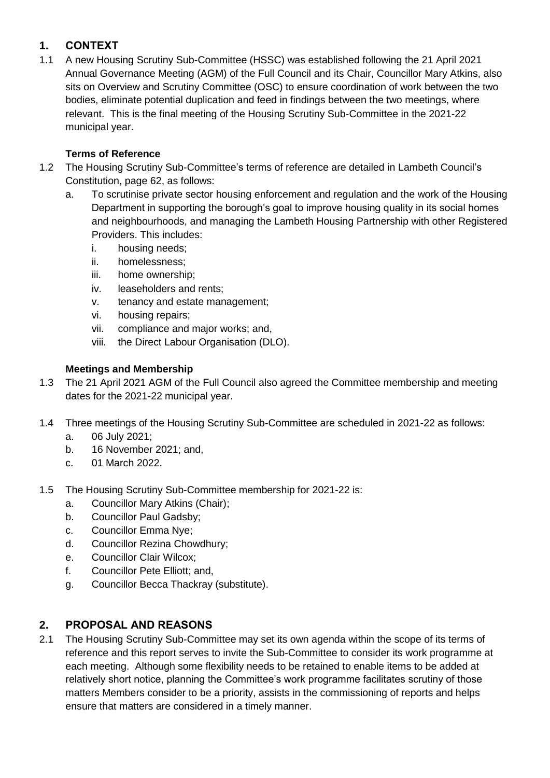# **1. CONTEXT**

1.1 A new Housing Scrutiny Sub-Committee (HSSC) was established following the 21 April 2021 Annual Governance Meeting (AGM) of the Full Council and its Chair, Councillor Mary Atkins, also sits on Overview and Scrutiny Committee (OSC) to ensure coordination of work between the two bodies, eliminate potential duplication and feed in findings between the two meetings, where relevant. This is the final meeting of the Housing Scrutiny Sub-Committee in the 2021-22 municipal year.

# **Terms of Reference**

- 1.2 The Housing Scrutiny Sub-Committee's terms of reference are detailed in Lambeth Council's Constitution, page 62, as follows:
	- a. To scrutinise private sector housing enforcement and regulation and the work of the Housing Department in supporting the borough's goal to improve housing quality in its social homes and neighbourhoods, and managing the Lambeth Housing Partnership with other Registered Providers. This includes:
		- i. housing needs;
		- ii. homelessness;
		- iii. home ownership;
		- iv. leaseholders and rents;
		- v. tenancy and estate management;
		- vi. housing repairs;
		- vii. compliance and major works; and,
		- viii. the Direct Labour Organisation (DLO).

## **Meetings and Membership**

- 1.3 The 21 April 2021 AGM of the Full Council also agreed the Committee membership and meeting dates for the 2021-22 municipal year.
- 1.4 Three meetings of the Housing Scrutiny Sub-Committee are scheduled in 2021-22 as follows:
	- a. 06 July 2021;
	- b. 16 November 2021; and,
	- c. 01 March 2022.
- 1.5 The Housing Scrutiny Sub-Committee membership for 2021-22 is:
	- a. Councillor Mary Atkins (Chair);
	- b. Councillor Paul Gadsby;
	- c. Councillor Emma Nye;
	- d. Councillor Rezina Chowdhury;
	- e. Councillor Clair Wilcox;
	- f. Councillor Pete Elliott; and,
	- g. Councillor Becca Thackray (substitute).

## **2. PROPOSAL AND REASONS**

2.1 The Housing Scrutiny Sub-Committee may set its own agenda within the scope of its terms of reference and this report serves to invite the Sub-Committee to consider its work programme at each meeting. Although some flexibility needs to be retained to enable items to be added at relatively short notice, planning the Committee's work programme facilitates scrutiny of those matters Members consider to be a priority, assists in the commissioning of reports and helps ensure that matters are considered in a timely manner.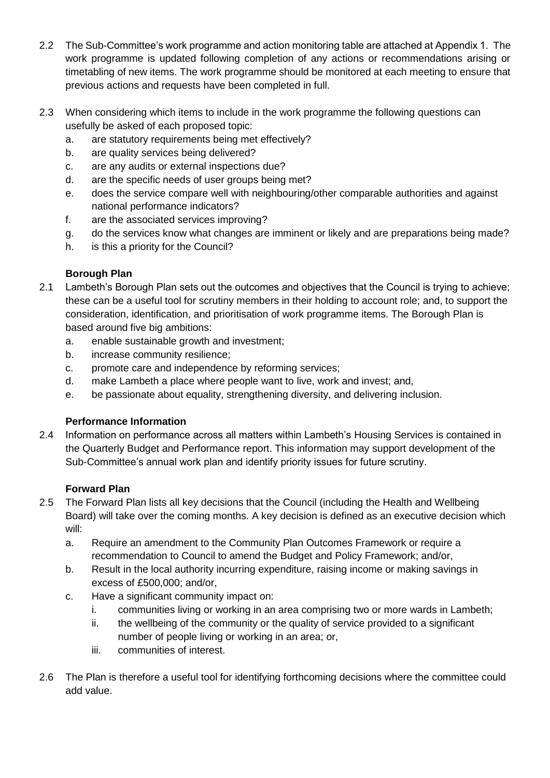- 2.2 The Sub-Committee's work programme and action monitoring table are attached at Appendix 1. The work programme is updated following completion of any actions or recommendations arising or timetabling of new items. The work programme should be monitored at each meeting to ensure that previous actions and requests have been completed in full.
- 2.3 When considering which items to include in the work programme the following questions can usefully be asked of each proposed topic:
	- a. are statutory requirements being met effectively?
	- b. are quality services being delivered?
	- c. are any audits or external inspections due?
	- d. are the specific needs of user groups being met?
	- e. does the service compare well with neighbouring/other comparable authorities and against national performance indicators?
	- f. are the associated services improving?
	- g. do the services know what changes are imminent or likely and are preparations being made?
	- h. is this a priority for the Council?

# **Borough Plan**

- 2.1 Lambeth's Borough Plan sets out the outcomes and objectives that the Council is trying to achieve; these can be a useful tool for scrutiny members in their holding to account role; and, to support the consideration, identification, and prioritisation of work programme items. The Borough Plan is based around five big ambitions:
	- a. enable sustainable growth and investment;
	- b. increase community resilience;
	- c. promote care and independence by reforming services;
	- d. make Lambeth a place where people want to live, work and invest; and,
	- e. be passionate about equality, strengthening diversity, and delivering inclusion.

# **Performance Information**

2.4 Information on performance across all matters within Lambeth's Housing Services is contained in the Quarterly Budget and Performance report. This information may support development of the Sub-Committee's annual work plan and identify priority issues for future scrutiny.

## **Forward Plan**

- 2.5 The Forward Plan lists all key decisions that the Council (including the Health and Wellbeing Board) will take over the coming months. A key decision is defined as an executive decision which will:
	- a. Require an amendment to the Community Plan Outcomes Framework or require a recommendation to Council to amend the Budget and Policy Framework; and/or,
	- b. Result in the local authority incurring expenditure, raising income or making savings in excess of £500,000; and/or,
	- c. Have a significant community impact on:
		- i. communities living or working in an area comprising two or more wards in Lambeth;
		- ii. the wellbeing of the community or the quality of service provided to a significant number of people living or working in an area; or,
		- iii. communities of interest.
- 2.6 The Plan is therefore a useful tool for identifying forthcoming decisions where the committee could add value.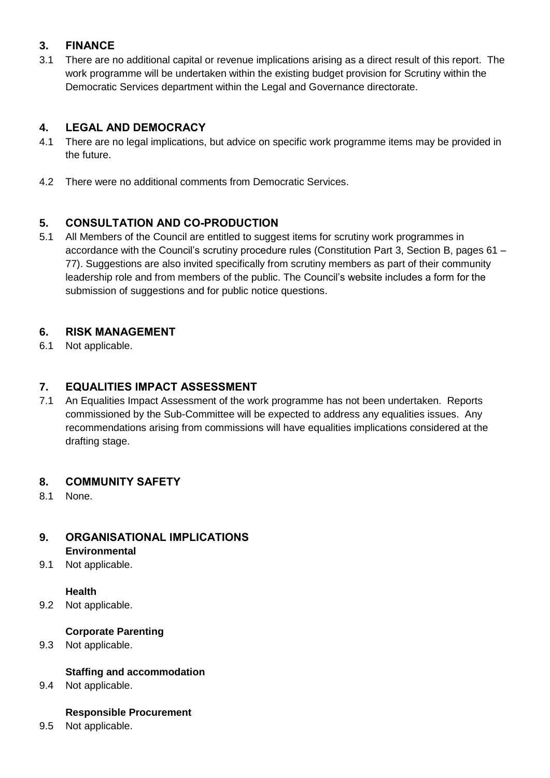# **3. FINANCE**

3.1 There are no additional capital or revenue implications arising as a direct result of this report. The work programme will be undertaken within the existing budget provision for Scrutiny within the Democratic Services department within the Legal and Governance directorate.

# **4. LEGAL AND DEMOCRACY**

- 4.1 There are no legal implications, but advice on specific work programme items may be provided in the future.
- 4.2 There were no additional comments from Democratic Services.

# **5. CONSULTATION AND CO-PRODUCTION**

5.1 All Members of the Council are entitled to suggest items for scrutiny work programmes in accordance with the Council's scrutiny procedure rules (Constitution Part 3, Section B, pages 61 – 77). Suggestions are also invited specifically from scrutiny members as part of their community leadership role and from members of the public. The Council's website includes a form for the submission of suggestions and for public notice questions.

## **6. RISK MANAGEMENT**

6.1 Not applicable.

## **7. EQUALITIES IMPACT ASSESSMENT**

7.1 An Equalities Impact Assessment of the work programme has not been undertaken. Reports commissioned by the Sub-Committee will be expected to address any equalities issues. Any recommendations arising from commissions will have equalities implications considered at the drafting stage.

## **8. COMMUNITY SAFETY**

8.1 None.

### **9. ORGANISATIONAL IMPLICATIONS Environmental**

9.1 Not applicable.

### **Health**

9.2 Not applicable.

## **Corporate Parenting**

9.3 Not applicable.

## **Staffing and accommodation**

9.4 Not applicable.

### **Responsible Procurement**

9.5 Not applicable.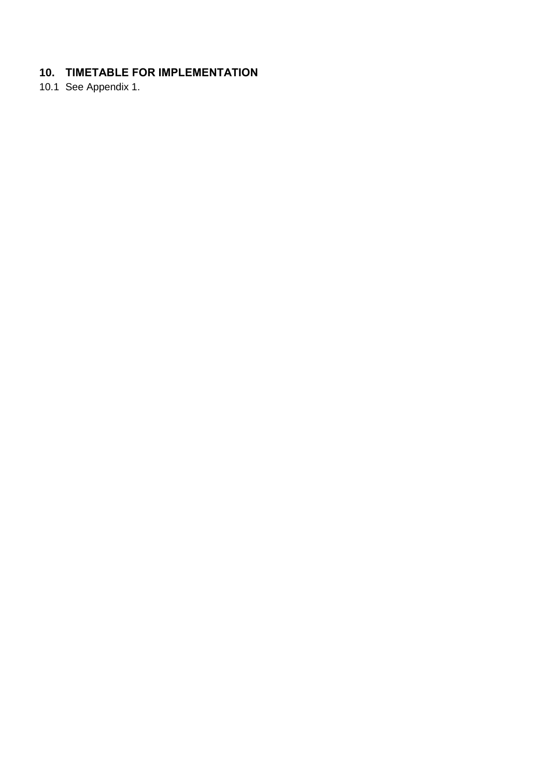# **10. TIMETABLE FOR IMPLEMENTATION**

10.1 See Appendix 1.